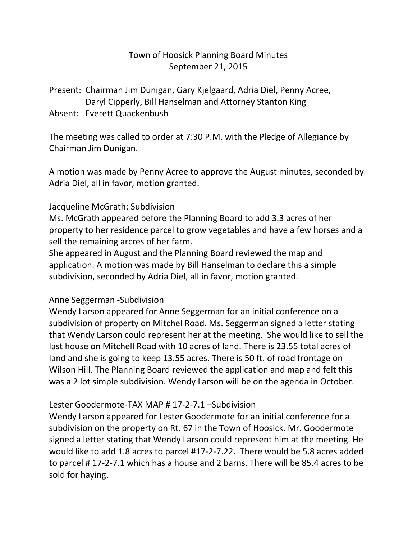## Town of Hoosick Planning Board Minutes September 21, 2015

Present: Chairman Jim Dunigan, Gary Kjelgaard, Adria Diel, Penny Acree, Daryl Cipperly, Bill Hanselman and Attorney Stanton King Absent: Everett Quackenbush

The meeting was called to order at 7:30 P.M. with the Pledge of Allegiance by Chairman Jim Dunigan.

A motion was made by Penny Acree to approve the August minutes, seconded by Adria Diel, all in favor, motion granted.

## Jacqueline McGrath: Subdivision

Ms. McGrath appeared before the Planning Board to add 3.3 acres of her property to her residence parcel to grow vegetables and have a few horses and a sell the remaining arcres of her farm.

She appeared in August and the Planning Board reviewed the map and application. A motion was made by Bill Hanselman to declare this a simple subdivision, seconded by Adria Diel, all in favor, motion granted.

## Anne Seggerman -Subdivision

Wendy Larson appeared for Anne Seggerman for an initial conference on a subdivision of property on Mitchel Road. Ms. Seggerman signed a letter stating that Wendy Larson could represent her at the meeting. She would like to sell the last house on Mitchell Road with 10 acres of land. There is 23.55 total acres of land and she is going to keep 13.55 acres. There is 50 ft. of road frontage on Wilson Hill. The Planning Board reviewed the application and map and felt this was a 2 lot simple subdivision. Wendy Larson will be on the agenda in October.

#### Lester Goodermote-TAX MAP # 17-2-7.1 –Subdivision

Wendy Larson appeared for Lester Goodermote for an initial conference for a subdivision on the property on Rt. 67 in the Town of Hoosick. Mr. Goodermote signed a letter stating that Wendy Larson could represent him at the meeting. He would like to add 1.8 acres to parcel #17-2-7.22. There would be 5.8 acres added to parcel # 17-2-7.1 which has a house and 2 barns. There will be 85.4 acres to be sold for haying.